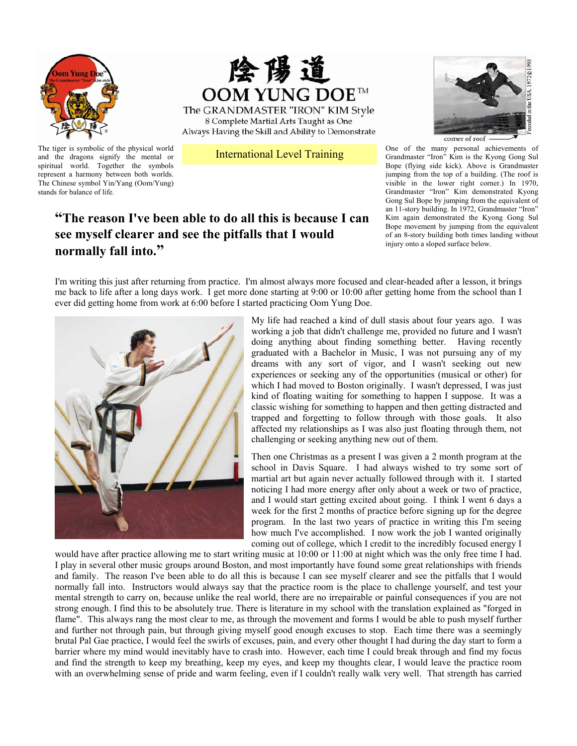



The GRANDMASTER "IRON" KIM Style 8 Complete Martial Arts Taught as One Always Having the Skill and Ability to Demonstrate

The tiger is symbolic of the physical world<br>and the dragons signify the mental or **International Level Training** and the dragons signify the mental or spiritual world. Together the symbols represent a harmony between both worlds. The Chinese symbol Yin/Yang (Oom/Yung) stands for balance of life.

## **"The reason I've been able to do all this is because I can see myself clearer and see the pitfalls that I would normally fall into."**



One of the many personal achievements of Grandmaster "Iron" Kim is the Kyong Gong Sul Bope (flying side kick). Above is Grandmaster jumping from the top of a building. (The roof is visible in the lower right corner.) In 1970, Grandmaster "Iron" Kim demonstrated Kyong Gong Sul Bope by jumping from the equivalent of an 11-story building. In 1972, Grandmaster "Iron" Kim again demonstrated the Kyong Gong Sul Bope movement by jumping from the equivalent of an 8-story building both times landing without injury onto a sloped surface below.

I'm writing this just after returning from practice. I'm almost always more focused and clear-headed after a lesson, it brings me back to life after a long days work. I get more done starting at 9:00 or 10:00 after getting home from the school than I ever did getting home from work at 6:00 before I started practicing Oom Yung Doe.



My life had reached a kind of dull stasis about four years ago. I was working a job that didn't challenge me, provided no future and I wasn't doing anything about finding something better. Having recently graduated with a Bachelor in Music, I was not pursuing any of my dreams with any sort of vigor, and I wasn't seeking out new experiences or seeking any of the opportunities (musical or other) for which I had moved to Boston originally. I wasn't depressed. I was just kind of floating waiting for something to happen I suppose. It was a classic wishing for something to happen and then getting distracted and trapped and forgetting to follow through with those goals. It also affected my relationships as I was also just floating through them, not challenging or seeking anything new out of them.

Then one Christmas as a present I was given a 2 month program at the school in Davis Square. I had always wished to try some sort of martial art but again never actually followed through with it. I started noticing I had more energy after only about a week or two of practice, and I would start getting excited about going. I think I went 6 days a week for the first 2 months of practice before signing up for the degree program. In the last two years of practice in writing this I'm seeing how much I've accomplished. I now work the job I wanted originally coming out of college, which I credit to the incredibly focused energy I

would have after practice allowing me to start writing music at 10:00 or 11:00 at night which was the only free time I had. I play in several other music groups around Boston, and most importantly have found some great relationships with friends and family. The reason I've been able to do all this is because I can see myself clearer and see the pitfalls that I would normally fall into. Instructors would always say that the practice room is the place to challenge yourself, and test your mental strength to carry on, because unlike the real world, there are no irrepairable or painful consequences if you are not strong enough. I find this to be absolutely true. There is literature in my school with the translation explained as "forged in flame". This always rang the most clear to me, as through the movement and forms I would be able to push myself further and further not through pain, but through giving myself good enough excuses to stop. Each time there was a seemingly brutal Pal Gae practice, I would feel the swirls of excuses, pain, and every other thought I had during the day start to form a barrier where my mind would inevitably have to crash into. However, each time I could break through and find my focus and find the strength to keep my breathing, keep my eyes, and keep my thoughts clear, I would leave the practice room with an overwhelming sense of pride and warm feeling, even if I couldn't really walk very well. That strength has carried